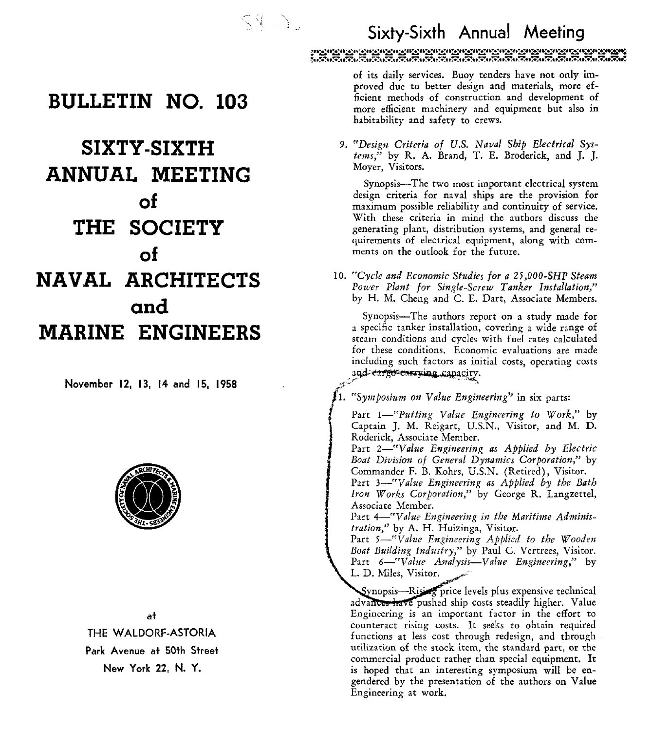# - , '~ . *t* . **Sixty-Sixth Annual Meeting**

**BULLETIN NO. 103** 

## **SIXTY-SIXTH ANNUAL MEETING of THE SOCIETY of NAVAL ARCHITECTS and MARINE ENGINEERS**

**November 12, 13, 14 and 15, 1958** 



**at THE WALDORF-ASTORIA Park Avenue at 50th Street New York 22. N. Y.** 

of its daily services. Buoy tenders have not only improved due to better design and materials, more **ef**ficient methods of construction and development of more etficient machinery and equipment but also in habitability and safety to crews.

9. "Design Criteria of U.S. Naval Ship Electrical Systems," by R. A. Brand, T. E. Broderick, and I. I. Moyer, Visitors.

Synopsis-The two most important electrical system design criteria for naval ships are the provision for maximum possible reliability and continuity of service. With these criteria in mind the authors discuss the generating plant, distribution systems, and general requirements of electrical equipment, along with comments on the outlook for the future.

10. "Cycle and Economic Studies for a **25,000-SHP** Steam Power Plant for Single-Screw Tanker Installation," by H. M. Cheng and C. E. Dart, Associate Members.

Synopsis-The authors report on a study made for a specific tanker installation, covering a wide range of steam conditions and cycles with fuel rates calculated for these conditions. Economic evaluations are made including such factors as initial costs, operating costs and eargo carrying capacity.

"Symposium on Value Engineering" in six parts:

Part 1-creputting Value Engineering to Work," by Captain J. M. Reigart, U.S.N., Visitor, and M. D. Roderick, Associate Member.

Part  $2$ —"Value Engineering as Applied by Electric Boat Division of General Dynamics Corporation," by Commander F. **13.** Kohrs, U.S.N. (Retired), Visitor.

Part  $3$ —"Value Engineering as Applied by the Bath Iron Works Corporation," by George R. Langzettel, Associate Member.

Part 4-"Value Engineering in the Maritime Adminisfration," by A. H. Huizinga, Visitor.

Part 5-"Value Engineering Applied to the Wooden Boat Building Industry," by Paul C. Vertrees, Visitor. Part 6-"Value Analysis-Value Engineering," by L. D. Miles, Visitor.

Synopsis—Rising price levels plus expensive technical advances have pushed ship costs steadily higher. Value Engineering is an important factor in the effort to counteract rising costs. It seeks to obtain required functions at less cost through redesign, and through utilization of the stock item, the standard part, or the commercial product rather than special equipment. It is hoped that an interesting symposium will be engendered by the presentation of the authors on Value Engineering at work.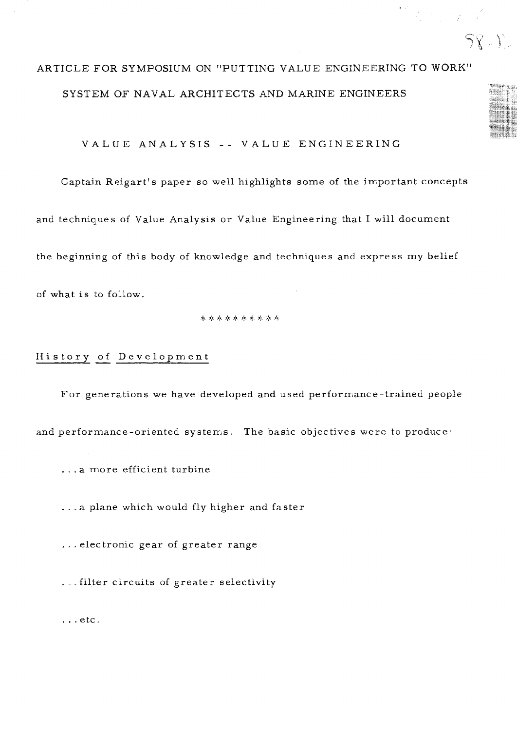## ARTICLE FOR SYMPOSIUM ON "PUTTING VALUE ENGINEERING TO WORK" SYSTEM OF NAVAL ARCHITECTS AND MARINE ENGINEERS

 $58.12$ 

VALUE ANALYSIS -- VALUE ENGINEERING

Captain Reigart's paper so well highlights some of the important concepts

and techniques of Value Analysis or Value Engineering that I will document

the beginning of this body of knowledge and techniques and express my belief

of what is to follow.

# History - of Development

For generations we have developed and used performance-trained people and performance-oriented systems. The basic objectives were to produce:

...a more efficient turbine

. . . a plane which would fly higher and faster

...electronic gear of greater range

. . . filter circuits of greater selectivity

. . . etc.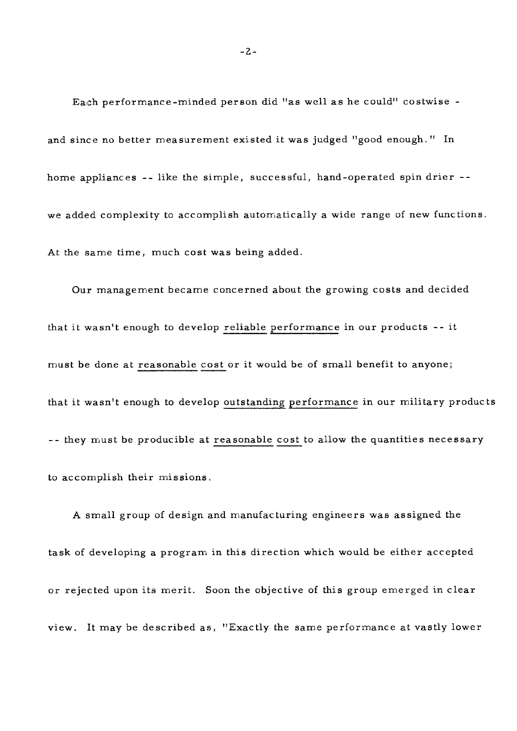Each performance -minded per son did "as well as he could" costwise and since no better measurement existed it was judged "good enough." In home appliances -- like the simple, successful, hand-operated spin drier - we added complexity to accomplish automatically a wide range of new functions. At the same time, much cost was being added.

Our management became concerned about the growing costs and decided that it wasn't enough to develop reliable performance in our products -- it must be done at reasonable cost or it would be of small benefit to anyone; that it wasn't enough to develop outstanding performance in our military products -- they must be producible at reasonable cost to allow the quantities necessary to accomplish their missions.

**A** small group of design and manufacturing engineers was assigned the task of developing a program in this direction which would be either accepted or rejected upon its merit. Soon the objective of this group emerged in clear view. It may be described as, "Exactly the same performance at vastly lower

 $-2-$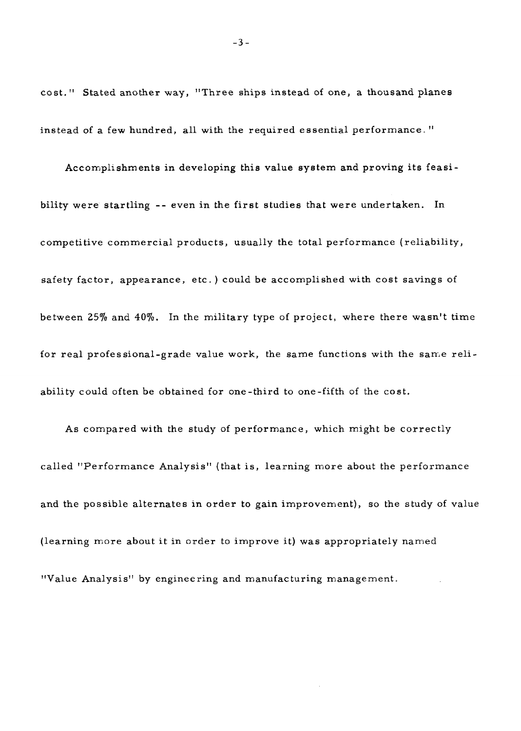cost." Stated another way, "Three ships instead of one, a thousand planes instead of a few hundred, all with the required essential performance. "

Accomplishments in developing this value system and proving its feasibility were startling -- even in the first studies that were undertaken. In competitive commercial products, usually the total performance (reliability, safety factor, appearance, etc. ) could be accomplished with cost savings of between **25%** and 40%. In the military type of project, where there wasn't time for real professional-grade value work, the same functions with the same reliability could often be obtained for one-third to one-fifth of the cost.

As compared with the study of performance, which might be correctly called "Performance Analysis" (that is, learning more about the performance and the possible alternates in order to gain improvement), so the study of value (learning more about it in order to improve it) was appropriately named "Value Analysis" by engineering and manufacturing management.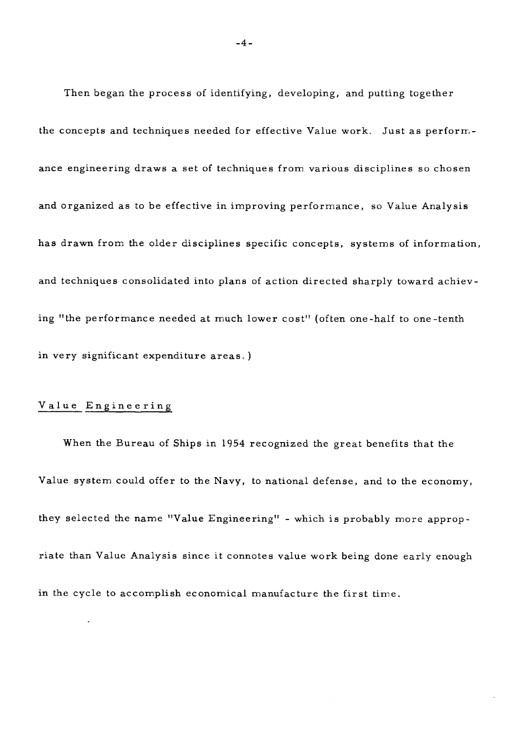Then began the process of identifying, developing, and putting together the concepts and techniques needed for effective Value work. Just as perform. ance engineering draws a set of techniques from various disciplines so chosen and organized as to be effective in improving performance, so Value Analysis has drawn from the older disciplines specific concepts, systems of information, and techniques consolidated into plans of action directed sharply toward achieving "the performance needed at much lower cost" (often one-half to one -tenth in very significant expenditure areas. )

### Value Engineering

When the Bureau of Ships in 1954 recognized the great benefits that the Value system could offer to the Navy, to national defense, and to the economy, they selected the name "Value Engineering" - which is probably more appropriate than Value Analysis since it connotes value work being done early enough in the cycle to accomplish economical manufacture the first time.

 $-4-$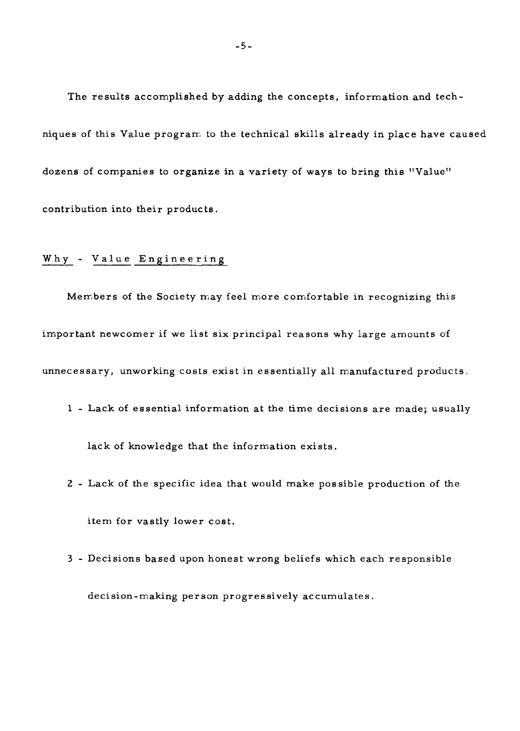The results accomplished **by** adding the concepts, information and techniques of this Value program to the technical skills already in place have caused dozens of companies to organize in a variety of ways to bring this "Value" contribution into their products.

### Why - Value Engineering

Members of the Society may feel more comfortable in recognizing this important newcomer if we list six principal reasons why large amounts of unnecessary, unworking costs exist in essentially all manufactured products,

1 - Lack of essential information at the time decisions are made; usually

lack of knowledge that the information exists.

- 2 Lack of the specific idea that would make possible production of the item for vastly lower cost.
- **3**  Decisions based upon honest wrong beliefs which each responsible decision-making person progressively accumulates.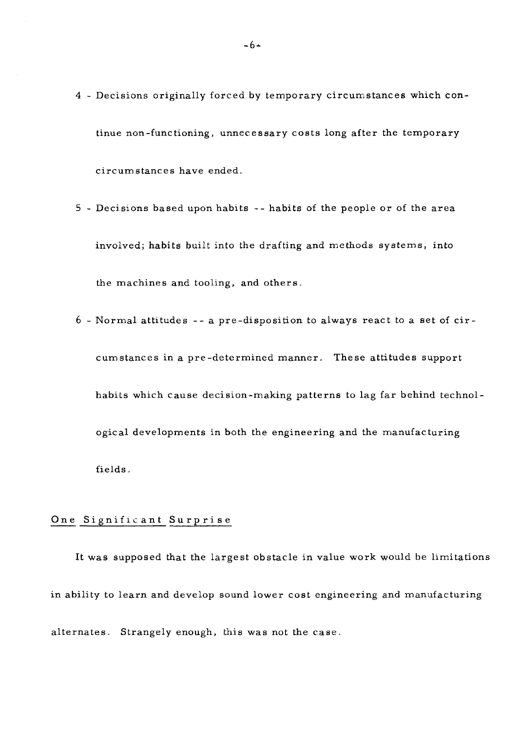- 4 Decisions originally forced by temporary circumstances which continue non-functioning, unnecessary costs long after the temporary circumstances have ended.
- 5 Decisions based upon habits -- habits of the people or of the area involved; habits built into the drafting and methods systems, into the machines and tooling, and others.
- 6 Normal attitudes -- a pre-disposition to always react to a set of eircum stances in a pre -determined manner. These attitudes support habits which cause decision-making patterns to lag far behind technological developments in both the engineering and the manufacturing fields.

#### One Significant Surprise

It was supposed that the largest obstacle in value work would be limitations in ability to learn and develop sound lower cost engineering and manufacturing alternates. Strangely enough, this was not the case,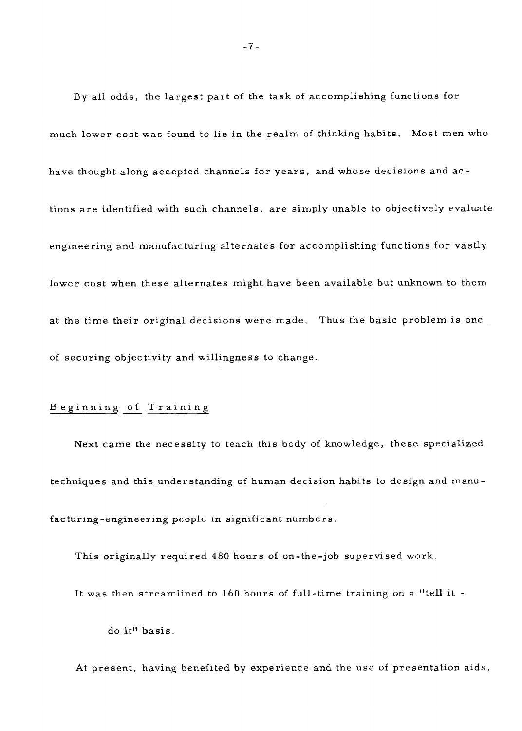By all odds, the largest part of the task of accomplishing functions for much lower cost was found to lie in the realm of thinking habits. Most men who have thought along accepted channels for years, and whose decisions and ac tions are identified with such channels, are simply unable to objectively evaluate engineering and manufacturing alternates for accomplishing functions for vastly lower cost when these alternates might have been available but unknown to them at the time their original decisions were made. Thus the basic problem is one of securing objectivity and willingness to change.

### Beginning of Training

Next came the necessity to teach this body of knowledge, these specialized techniques and this understanding of human decision habits to design and manufacturing-engineering people in significant numbers.

This originally required 480 hours of on-the-job supervised work,

It was then streamlined to 160 hours of full-time training on a "tell it -

do it" basis.

At present, having benefited by experience and the use of presentation aids,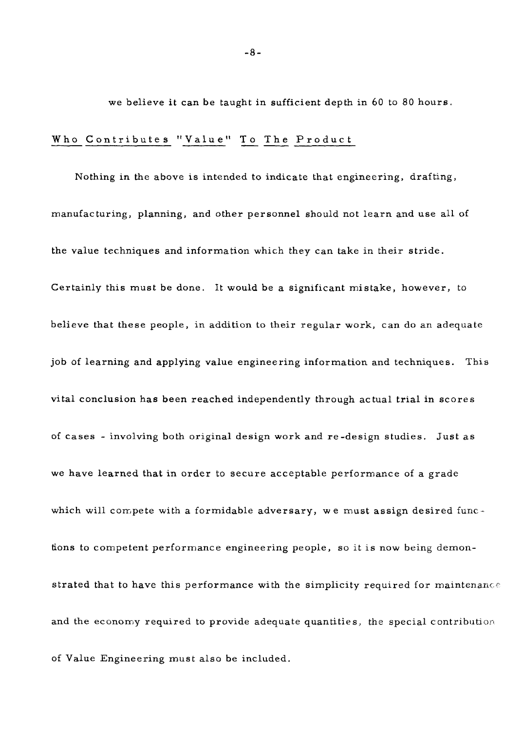we believe it can be taught in sufficient depth in 60 to 80 hours.<br>
Who Contributes "Value" To The Product

Nothing in the above is intended to indicate that engineering, drafting, manufacturing, planning, and other personnel should not learn and use all of the value techniques and information which they can take in their stride. Certainly this must be done. It would be a significant mistake, however, to believe that these people, in addition to their regular work, can do an adequate job of learning and applying value engineering information and techniques. This vital conclusion has been reached independently through actual trial in scores **of** cases - involving both original design work and re-design studies. Just as we have learned that in order to secure acceptable performance of a grade which will compete with a formidable adversary, we must assign desired functions to competent performance engineering people, so it is now being demonstrated that to have this performance with the simplicity required for maintenance and the economy required to provide adequate quantities, the special contribution of Value Engineering must also be included.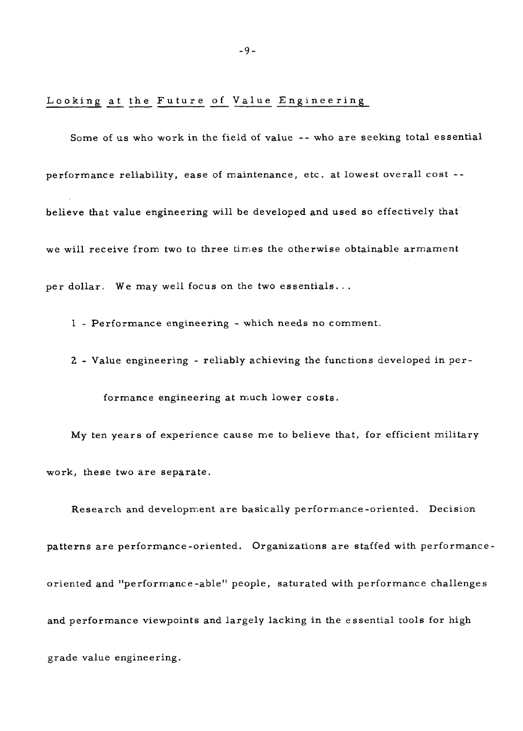# -9-<br>Looking at the Future of Value Engineering

Some of us who work in the field of value -- who are seeking total essential performance reliability, ease of maintenance, etc. at lowest overall cost - believe that value engineering will be developed and used so effectively that we will receive from two to three times the otherwise obtainable armament per dollar. We may well focus on the two essentials.. .

1 - Performance engineering - which needs no comment.

2 - Value engineering - reliably achieving the functions developed in per-

formance engineering at much lower costs.

My ten years of experience cause me to believe that, for efficient military work, these two are separate.

Research and development are basically performance-oriented. Decision patterns are performance-oriented. Organizations are staffed with performanceoriented and "performance-able" people, saturated with performance challenges and performance viewpoints and largely lacking in the essential tools for high grade value engineering.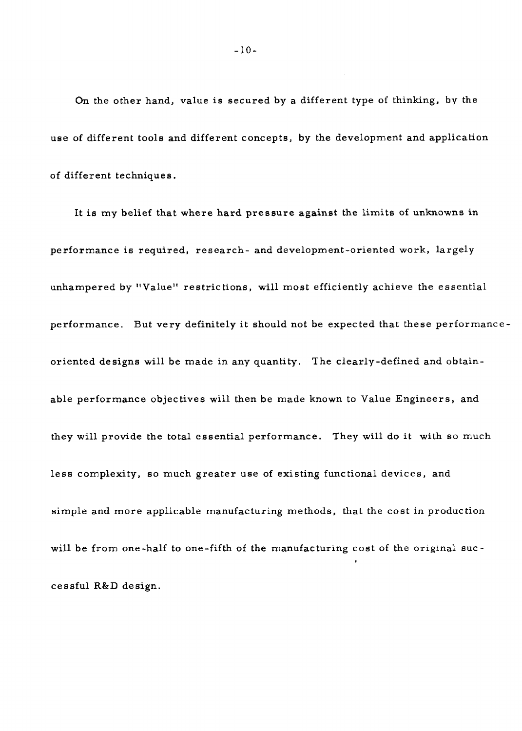On the other hand, value is secured by a different type of thinking, by the use of different tools and different concepts, by the development and application of different techniques.

It is my belief that where **hard** pressure against the limits of unknowns in performance is required, research- and development-oriented work, largely unhampered by "Value" restrictions, will most efficiently achieve the essential performance. But very definitely it should not be expected that these performance oriented designs will be made in any quantity. The clearly-defined and obtainable performance objectives will then be made known to Value Engineers, and they will provide the total essential performance. They will do it with so much less complexity, so much greater use of existing functional devices, and simple and more applicable manufacturing methods, that the cost in production will be from one-half to one-fifth of the manufacturing cost of the original successful R&D design.